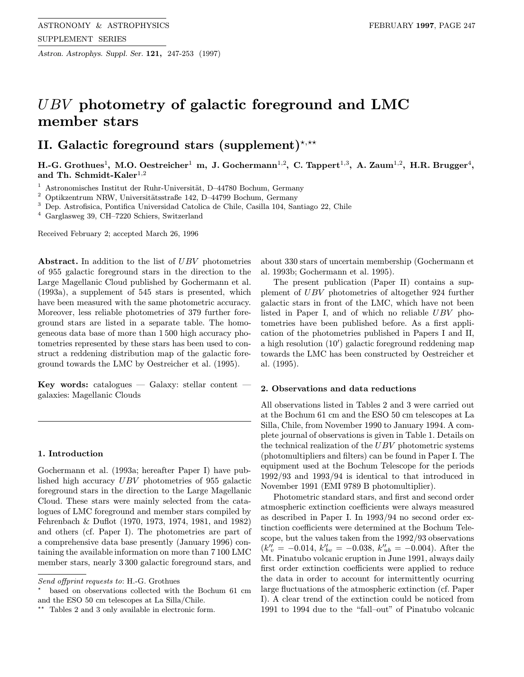Astron. Astrophys. Suppl. Ser. 121, 247-253 (1997)

# UBV photometry of galactic foreground and LMC member stars

## II. Galactic foreground stars (supplement)<sup>\*,\*\*</sup>

H.-G. Grothues<sup>1</sup>, M.O. Oestreicher<sup>1</sup> m, J. Gochermann<sup>1,2</sup>, C. Tappert<sup>1,3</sup>, A. Zaum<sup>1,2</sup>, H.R. Brugger<sup>4</sup>, and Th. Schmidt-Kaler<sup>1,2</sup>

 $1$  Astronomisches Institut der Ruhr-Universität, D–44780 Bochum, Germany

 $^2$  Optikzentrum NRW, Universitätsstraße 142, D–44799 Bochum, Germany

<sup>3</sup> Dep. Astrofisica, Pontifica Universidad Catolica de Chile, Casilla 104, Santiago 22, Chile

<sup>4</sup> Garglasweg 39, CH–7220 Schiers, Switzerland

Received February 2; accepted March 26, 1996

Abstract. In addition to the list of UBV photometries of 955 galactic foreground stars in the direction to the Large Magellanic Cloud published by Gochermann et al. (1993a), a supplement of 545 stars is presented, which have been measured with the same photometric accuracy. Moreover, less reliable photometries of 379 further foreground stars are listed in a separate table. The homogeneous data base of more than 1 500 high accuracy photometries represented by these stars has been used to construct a reddening distribution map of the galactic foreground towards the LMC by Oestreicher et al. (1995).

Key words: catalogues — Galaxy: stellar content galaxies: Magellanic Clouds

#### 1. Introduction

Gochermann et al. (1993a; hereafter Paper I) have published high accuracy UBV photometries of 955 galactic foreground stars in the direction to the Large Magellanic Cloud. These stars were mainly selected from the catalogues of LMC foreground and member stars compiled by Fehrenbach & Duflot (1970, 1973, 1974, 1981, and 1982) and others (cf. Paper I). The photometries are part of a comprehensive data base presently (January 1996) containing the available information on more than 7 100 LMC member stars, nearly 3 300 galactic foreground stars, and

about 330 stars of uncertain membership (Gochermann et al. 1993b; Gochermann et al. 1995).

The present publication (Paper II) contains a supplement of UBV photometries of altogether 924 further galactic stars in front of the LMC, which have not been listed in Paper I, and of which no reliable UBV photometries have been published before. As a first application of the photometries published in Papers I and II, a high resolution (10') galactic foreground reddening map towards the LMC has been constructed by Oestreicher et al. (1995).

#### 2. Observations and data reductions

All observations listed in Tables 2 and 3 were carried out at the Bochum 61 cm and the ESO 50 cm telescopes at La Silla, Chile, from November 1990 to January 1994. A complete journal of observations is given in Table 1. Details on the technical realization of the UBV photometric systems (photomultipliers and filters) can be found in Paper I. The equipment used at the Bochum Telescope for the periods 1992/93 and 1993/94 is identical to that introduced in November 1991 (EMI 9789 B photomultiplier).

Photometric standard stars, and first and second order atmospheric extinction coefficients were always measured as described in Paper I. In 1993/94 no second order extinction coefficients were determined at the Bochum Telescope, but the values taken from the 1992/93 observations  $(k''_v = -0.014, k''_{bv} = -0.038, k''_{ub} = -0.004)$ . After the Mt. Pinatubo volcanic eruption in June 1991, always daily first order extinction coefficients were applied to reduce the data in order to account for intermittently ocurring large fluctuations of the atmospheric extinction (cf. Paper I). A clear trend of the extinction could be noticed from 1991 to 1994 due to the "fall–out" of Pinatubo volcanic

Send offprint requests to: H.-G. Grothues

based on observations collected with the Bochum 61 cm and the ESO 50 cm telescopes at La Silla/Chile.

 $*$  Tables 2 and 3 only available in electronic form.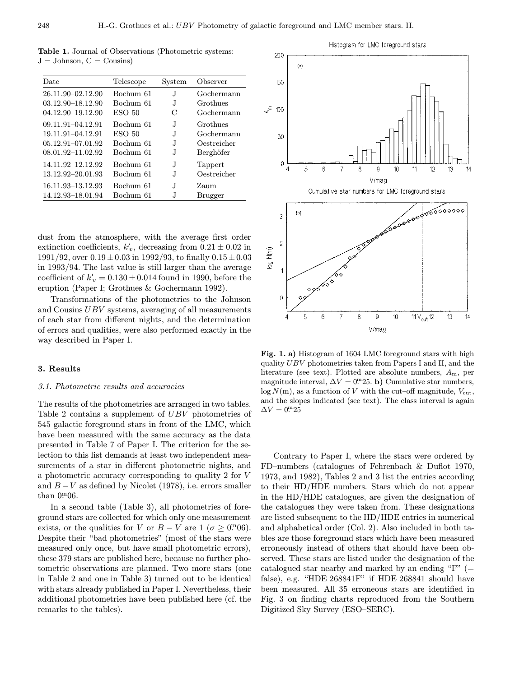Table 1. Journal of Observations (Photometric systems:  $J =$  Johnson,  $C =$  Cousins)

| Date                  | Telescope         | System | Observer    |
|-----------------------|-------------------|--------|-------------|
| 26.11.90-02.12.90     | Bochum 61         | J.     | Gochermann  |
| $03.12.90 - 18.12.90$ | Bochum 61         | .T     | Grothues    |
| 04.12.90-19.12.90     | ESO <sub>50</sub> | C      | Gochermann  |
| 09.11.91-04.12.91     | Bochum 61         | J.     | Grothues    |
| 19.11.91-04.12.91     | ESO <sub>50</sub> | J.     | Gochermann  |
| 05.12.91-07.01.92     | Bochum 61         | .T     | Oestreicher |
| 08.01.92-11.02.92     | Bochum 61         | J.     | Berghöfer   |
| 14.11.92-12.12.92     | Bochum 61         | J.     | Tappert     |
| 13.12.92–20.01.93     | Bochum 61         | J.     | Oestreicher |
| 16.11.93–13.12.93     | Bochum 61         | .T     | Zaum        |
| 14.12.93–18.01.94     | Bochum 61         | J      | Brugger     |

dust from the atmosphere, with the average first order extinction coefficients,  $k'_v$ , decreasing from  $0.21 \pm 0.02$  in 1991/92, over  $0.19\pm0.03$  in 1992/93, to finally  $0.15\pm0.03$ in 1993/94. The last value is still larger than the average coefficient of  $k_v' = 0.130 \pm 0.014$  found in 1990, before the eruption (Paper I; Grothues & Gochermann 1992).

Transformations of the photometries to the Johnson and Cousins UBV systems, averaging of all measurements of each star from different nights, and the determination of errors and qualities, were also performed exactly in the way described in Paper I.

#### 3. Results

#### 3.1. Photometric results and accuracies

The results of the photometries are arranged in two tables. Table 2 contains a supplement of UBV photometries of 545 galactic foreground stars in front of the LMC, which have been measured with the same accuracy as the data presented in Table 7 of Paper I. The criterion for the selection to this list demands at least two independent measurements of a star in different photometric nights, and a photometric accuracy corresponding to quality 2 for V and  $B - V$  as defined by Nicolet (1978), i.e. errors smaller than  $0<sup>m</sup>06$ .

In a second table (Table 3), all photometries of foreground stars are collected for which only one measurement exists, or the qualities for V or  $B - V$  are  $1 (\sigma \ge 0.006)$ . Despite their "bad photometries" (most of the stars were measured only once, but have small photometric errors), these 379 stars are published here, because no further photometric observations are planned. Two more stars (one in Table 2 and one in Table 3) turned out to be identical with stars already published in Paper I. Nevertheless, their additional photometries have been published here (cf. the remarks to the tables).



Fig. 1. a) Histogram of 1604 LMC foreground stars with high quality UBV photometries taken from Papers I and II, and the literature (see text). Plotted are absolute numbers,  $A<sub>m</sub>$ , per magnitude interval,  $\Delta V = 0^{\text{m}}25$ . b) Cumulative star numbers,  $log N(m)$ , as a function of V with the cut–off magnitude,  $V_{\text{cut}}$ , and the slopes indicated (see text). The class interval is again  $\Delta V = 0^{\rm m}25$ 

Contrary to Paper I, where the stars were ordered by FD–numbers (catalogues of Fehrenbach & Duflot 1970, 1973, and 1982), Tables 2 and 3 list the entries according to their HD/HDE numbers. Stars which do not appear in the HD/HDE catalogues, are given the designation of the catalogues they were taken from. These designations are listed subsequent to the HD/HDE entries in numerical and alphabetical order (Col. 2). Also included in both tables are those foreground stars which have been measured erroneously instead of others that should have been observed. These stars are listed under the designation of the catalogued star nearby and marked by an ending " $F$ " (= false), e.g. "HDE 268841F" if HDE 268841 should have been measured. All 35 erroneous stars are identified in Fig. 3 on finding charts reproduced from the Southern Digitized Sky Survey (ESO–SERC).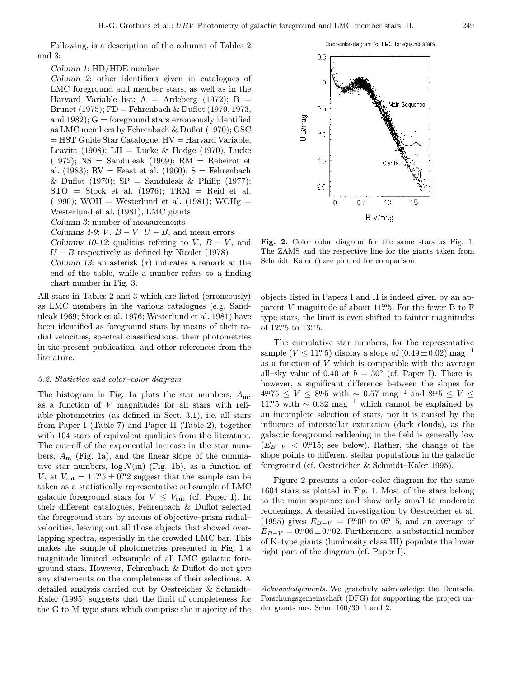Following, is a description of the columns of Tables 2 and 3:

### Column 1: HD/HDE number

Column 2: other identifiers given in catalogues of LMC foreground and member stars, as well as in the Harvard Variable list:  $A =$  Ardeberg (1972);  $B =$ Brunet (1975);  $FD = Fehrenbach \& Duflot (1970, 1973, 1973)$ and  $1982$ ;  $G =$  foreground stars erroneously identified as LMC members by Fehrenbach & Duflot (1970); GSC  $=$  HST Guide Star Catalogue;  $HV =$  Harvard Variable, Leavitt (1908); LH = Lucke & Hodge (1970), Lucke  $(1972)$ ; NS = Sanduleak  $(1969)$ ; RM = Rebeirot et al. (1983);  $RV =$  Feast et al. (1960);  $S =$  Fehrenbach & Duflot (1970);  $SP =$  Sanduleak & Philip (1977);  $STO = Stock$  et al. (1976);  $TRM = Reid$  et al.  $(1990)$ ; WOH = Westerlund et al.  $(1981)$ ; WOHg = Westerlund et al. (1981), LMC giants Column 3: number of measurements Columns 4-9: V,  $B - V$ ,  $U - B$ , and mean errors

Columns 10-12: qualities refering to V,  $B - V$ , and  $U - B$  respectively as defined by Nicolet (1978)

Column 13: an asterisk (∗) indicates a remark at the end of the table, while a number refers to a finding chart number in Fig. 3.

All stars in Tables 2 and 3 which are listed (erroneously) as LMC members in the various catalogues (e.g. Sanduleak 1969; Stock et al. 1976; Westerlund et al. 1981) have been identified as foreground stars by means of their radial velocities, spectral classifications, their photometries in the present publication, and other references from the literature.

#### 3.2. Statistics and color–color diagram

The histogram in Fig. 1a plots the star numbers,  $A_m$ , as a function of V magnitudes for all stars with reliable photometries (as defined in Sect. 3.1), i.e. all stars from Paper I (Table 7) and Paper II (Table 2), together with 104 stars of equivalent qualities from the literature. The cut–off of the exponential increase in the star numbers,  $A_{\rm m}$  (Fig. 1a), and the linear slope of the cumulative star numbers,  $\log N(m)$  (Fig. 1b), as a function of V, at  $V_{\text{cut}} = 11 \cdot 5 \pm 0 \cdot 2$  suggest that the sample can be taken as a statistically representative subsample of LMC galactic foreground stars for  $V \leq V_{\text{cut}}$  (cf. Paper I). In their different catalogues, Fehrenbach & Duflot selected the foreground stars by means of objective–prism radial– velocities, leaving out all those objects that showed overlapping spectra, especially in the crowded LMC bar. This makes the sample of photometries presented in Fig. 1 a magnitude limited subsample of all LMC galactic foreground stars. However, Fehrenbach & Duflot do not give any statements on the completeness of their selections. A detailed analysis carried out by Oestreicher & Schmidt– Kaler (1995) suggests that the limit of completeness for the G to M type stars which comprise the majority of the





Fig. 2. Color–color diagram for the same stars as Fig. 1. The ZAMS and the respective line for the giants taken from Schmidt–Kaler () are plotted for comparison

objects listed in Papers I and II is indeed given by an apparent  $V$  magnitude of about 11<sup>m</sup>5. For the fewer B to F type stars, the limit is even shifted to fainter magnitudes of  $12^{m}5$  to  $13^{m}5$ .

The cumulative star numbers, for the representative sample ( $V \leq 11<sup>m</sup>5$ ) display a slope of (0.49 ± 0.02)  $\text{mag}^{-1}$ as a function of V which is compatible with the average all–sky value of 0.40 at  $b = 30^{\circ}$  (cf. Paper I). There is, however, a significant difference between the slopes for  $4^{\text{m}}75 \leq V \leq 8^{\text{m}}5$  with  $\sim 0.57 \text{ mag}^{-1}$  and  $8^{\text{m}}5 \leq V \leq$ 11<sup>m</sup>5 with  $\sim$  0.32 mag<sup>-1</sup> which cannot be explained by an incomplete selection of stars, nor it is caused by the influence of interstellar extinction (dark clouds), as the galactic foreground reddening in the field is generally low  $(E_{B-V} < 0.0015;$  see below). Rather, the change of the slope points to different stellar populations in the galactic foreground (cf. Oestreicher & Schmidt–Kaler 1995).

Figure 2 presents a color–color diagram for the same 1604 stars as plotted in Fig. 1. Most of the stars belong to the main sequence and show only small to moderate reddenings. A detailed investigation by Oestreicher et al. (1995) gives  $E_{B-V} = 0^{m}00$  to  $0^{m}15$ , and an average of  $\widetilde{E}_{B-V} = 0^{\text{m}} 06 \pm 0^{\text{m}} 02$ . Furthermore, a substantial number of K–type giants (luminosity class III) populate the lower right part of the diagram (cf. Paper I).

Acknowledgements. We gratefully acknowledge the Deutsche Forschungsgemeinschaft (DFG) for supporting the project under grants nos. Schm 160/39–1 and 2.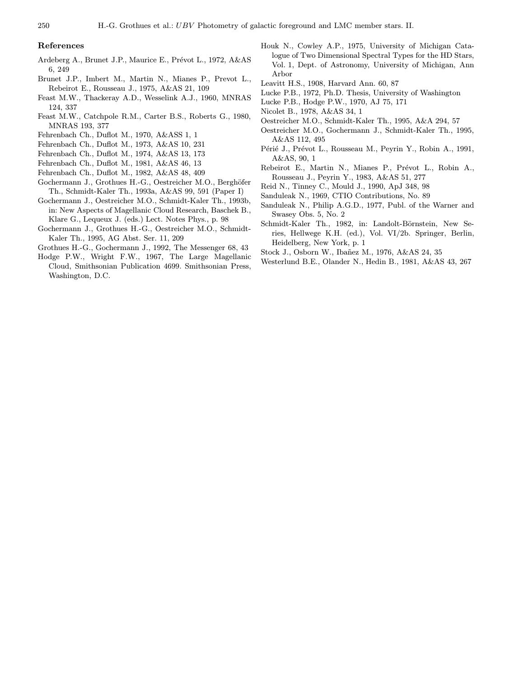#### References

- Ardeberg A., Brunet J.P., Maurice E., Prévot L., 1972, A&AS 6, 249
- Brunet J.P., Imbert M., Martin N., Mianes P., Prevot L., Rebeirot E., Rousseau J., 1975, A&AS 21, 109
- Feast M.W., Thackeray A.D., Wesselink A.J., 1960, MNRAS 124, 337
- Feast M.W., Catchpole R.M., Carter B.S., Roberts G., 1980, MNRAS 193, 377
- Fehrenbach Ch., Duflot M., 1970, A&ASS 1, 1
- Fehrenbach Ch., Duflot M., 1973, A&AS 10, 231
- Fehrenbach Ch., Duflot M., 1974, A&AS 13, 173
- Fehrenbach Ch., Duflot M., 1981, A&AS 46, 13
- Fehrenbach Ch., Duflot M., 1982, A&AS 48, 409
- Gochermann J., Grothues H.-G., Oestreicher M.O., Berghöfer Th., Schmidt-Kaler Th., 1993a, A&AS 99, 591 (Paper I)
- Gochermann J., Oestreicher M.O., Schmidt-Kaler Th., 1993b, in: New Aspects of Magellanic Cloud Research, Baschek B., Klare G., Lequeux J. (eds.) Lect. Notes Phys., p. 98
- Gochermann J., Grothues H.-G., Oestreicher M.O., Schmidt-Kaler Th., 1995, AG Abst. Ser. 11, 209
- Grothues H.-G., Gochermann J., 1992, The Messenger 68, 43
- Hodge P.W., Wright F.W., 1967, The Large Magellanic Cloud, Smithsonian Publication 4699. Smithsonian Press, Washington, D.C.
- Houk N., Cowley A.P., 1975, University of Michigan Catalogue of Two Dimensional Spectral Types for the HD Stars, Vol. 1, Dept. of Astronomy, University of Michigan, Ann Arbor
- Leavitt H.S., 1908, Harvard Ann. 60, 87
- Lucke P.B., 1972, Ph.D. Thesis, University of Washington
- Lucke P.B., Hodge P.W., 1970, AJ 75, 171
- Nicolet B., 1978, A&AS 34, 1
- Oestreicher M.O., Schmidt-Kaler Th., 1995, A&A 294, 57
- Oestreicher M.O., Gochermann J., Schmidt-Kaler Th., 1995, A&AS 112, 495
- Périé J., Prévot L., Rousseau M., Peyrin Y., Robin A., 1991, A&AS, 90, 1
- Rebeirot E., Martin N., Mianes P., Prévot L., Robin A., Rousseau J., Peyrin Y., 1983, A&AS 51, 277
- Reid N., Tinney C., Mould J., 1990, ApJ 348, 98
- Sanduleak N., 1969, CTIO Contributions, No. 89
- Sanduleak N., Philip A.G.D., 1977, Publ. of the Warner and Swasey Obs. 5, No. 2
- Schmidt-Kaler Th., 1982, in: Landolt-Börnstein, New Series, Hellwege K.H. (ed.), Vol. VI/2b. Springer, Berlin, Heidelberg, New York, p. 1
- Stock J., Osborn W., Ibañez M., 1976, A&AS 24, 35
- Westerlund B.E., Olander N., Hedin B., 1981, A&AS 43, 267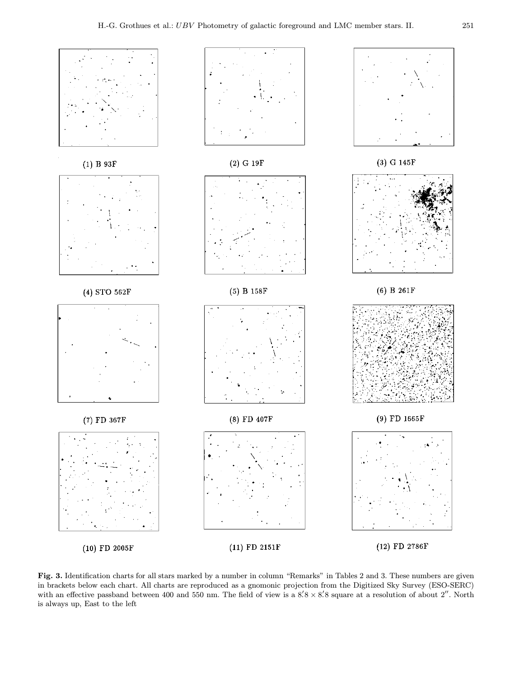

Fig. 3. Identification charts for all stars marked by a number in column "Remarks" in Tables 2 and 3. These numbers are given in brackets below each chart. All charts are reproduced as a gnomonic projection from the Digitized Sky Survey (ESO-SERC) with an effective passband between 400 and 550 nm. The field of view is a  $8.'8 \times 8.'8$  square at a resolution of about 2''. North is always up, East to the left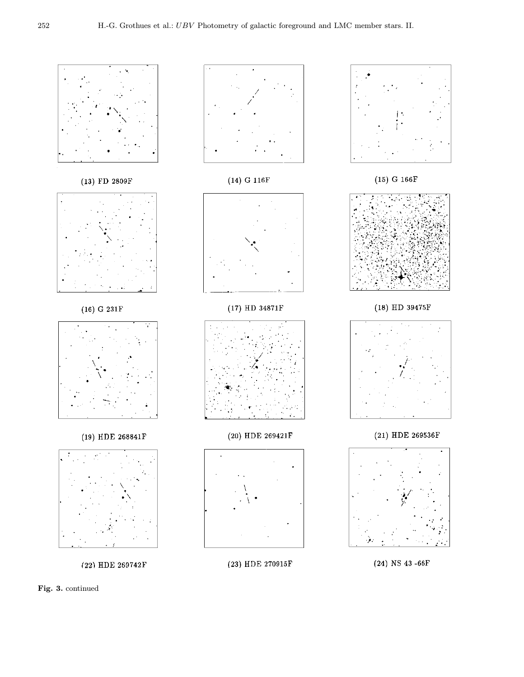

Fig. 3. continued